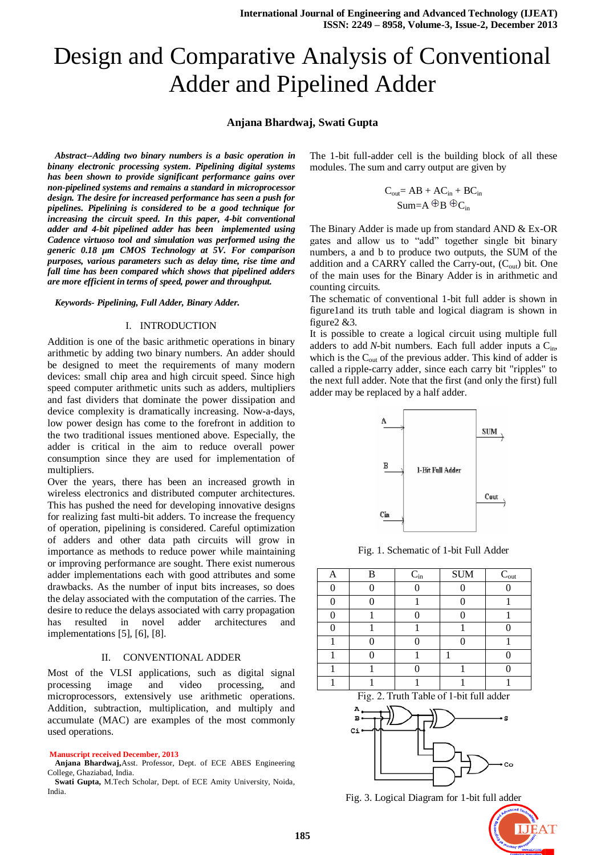# Design and Comparative Analysis of Conventional Adder and Pipelined Adder

# **Anjana Bhardwaj, Swati Gupta**

*Abstract--Adding two binary numbers is a basic operation in binany electronic processing system. Pipelining digital systems has been shown to provide significant performance gains over non-pipelined systems and remains a standard in microprocessor design. The desire for increased performance has seen a push for pipelines. Pipelining is considered to be a good technique for increasing the circuit speed. In this paper, 4-bit conventional adder and 4-bit pipelined adder has been implemented using Cadence virtuoso tool and simulation was performed using the generic 0.18 µm CMOS Technology at 5V. For comparison purposes, various parameters such as delay time, rise time and fall time has been compared which shows that pipelined adders are more efficient in terms of speed, power and throughput.*

### *Keywords- Pipelining, Full Adder, Binary Adder.*

### I. INTRODUCTION

Addition is one of the basic arithmetic operations in binary arithmetic by adding two binary numbers. An adder should be designed to meet the requirements of many modern devices: small chip area and high circuit speed. Since high speed computer arithmetic units such as adders, multipliers and fast dividers that dominate the power dissipation and device complexity is dramatically increasing. Now-a-days, low power design has come to the forefront in addition to the two traditional issues mentioned above. Especially, the adder is critical in the aim to reduce overall power consumption since they are used for implementation of multipliers.

Over the years, there has been an increased growth in wireless electronics and distributed computer architectures. This has pushed the need for developing innovative designs for realizing fast multi-bit adders. To increase the frequency of operation, pipelining is considered. Careful optimization of adders and other data path circuits will grow in importance as methods to reduce power while maintaining or improving performance are sought. There exist numerous adder implementations each with good attributes and some drawbacks. As the number of input bits increases, so does the delay associated with the computation of the carries. The desire to reduce the delays associated with carry propagation has resulted in novel adder architectures and implementations [5], [6], [8].

## II. CONVENTIONAL ADDER

Most of the VLSI applications, such as digital signal processing image and video processing, and microprocessors, extensively use arithmetic operations. Addition, subtraction, multiplication, and multiply and accumulate (MAC) are examples of the most commonly used operations.

#### **Manuscript received December, 2013**

**Anjana Bhardwaj,**Asst. Professor, Dept. of ECE ABES Engineering College, Ghaziabad, India.

**Swati Gupta,** M.Tech Scholar, Dept. of ECE Amity University, Noida, India.

The 1-bit full-adder cell is the building block of all these modules. The sum and carry output are given by

$$
\begin{aligned} C_{out} & = AB + AC_{in} + BC_{in} \\ Sum & = A \oplus B \oplus C_{in} \end{aligned}
$$

The Binary Adder is made up from standard AND & Ex-OR gates and allow us to "add" together single bit binary numbers, a and b to produce two outputs, the SUM of the addition and a CARRY called the Carry-out,  $(C_{out})$  bit. One of the main uses for the Binary Adder is in arithmetic and counting circuits.

The schematic of conventional 1-bit full adder is shown in figure1and its truth table and logical diagram is shown in figure2 &3.

It is possible to create a logical circuit using multiple full adders to add *N*-bit numbers. Each full adder inputs a  $C_{\text{in}}$ , which is the  $C_{out}$  of the previous adder. This kind of adder is called a ripple-carry adder, since each carry bit "ripples" to the next full adder. Note that the first (and only the first) full adder may be replaced by a half adder.



Fig. 1. Schematic of 1-bit Full Adder

| B | $C_{\rm in}$ | <b>SUM</b> | $C_{\rm out}$ |
|---|--------------|------------|---------------|
|   |              |            |               |
|   |              |            |               |
|   |              |            |               |
|   |              |            |               |
|   |              |            |               |
|   |              |            |               |
|   |              |            |               |
|   |              |            |               |

Fig. 2. Truth Table of 1-bit full adder



Fig. 3. Logical Diagram for 1-bit full adder

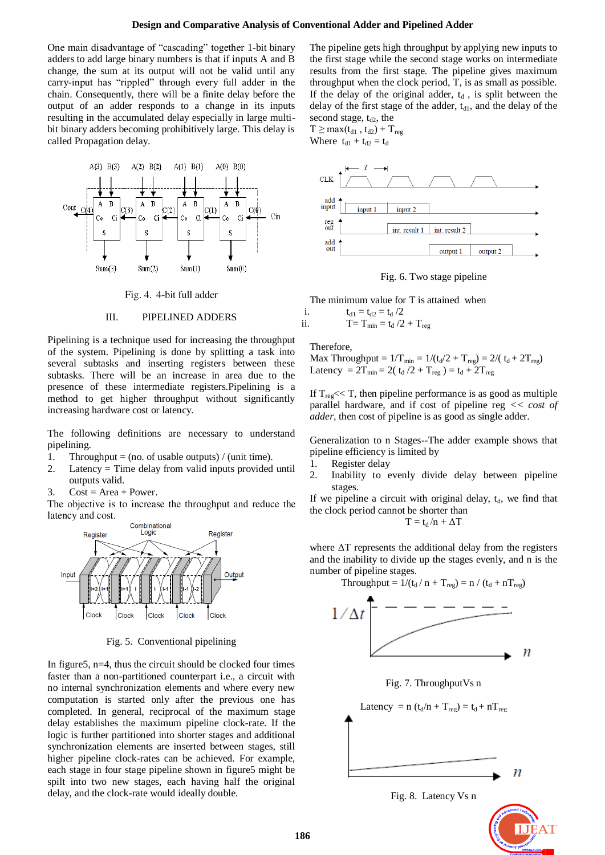One main disadvantage of "cascading" together 1-bit binary adders to add large binary numbers is that if inputs A and B change, the sum at its output will not be valid until any carry-input has "rippled" through every full adder in the chain. Consequently, there will be a finite delay before the output of an adder responds to a change in its inputs resulting in the accumulated delay especially in large multibit binary adders becoming prohibitively large. This delay is called Propagation delay.



Fig. 4. 4-bit full adder

## III. PIPELINED ADDERS

Pipelining is a technique used for increasing the throughput of the system. Pipelining is done by splitting a task into several subtasks and inserting registers between these subtasks. There will be an increase in area due to the presence of these intermediate registers.Pipelining is a method to get higher throughput without significantly increasing hardware cost or latency.

The following definitions are necessary to understand pipelining.

- 1. Throughput = (no. of usable outputs) / (unit time).
- 2. Latency = Time delay from valid inputs provided until outputs valid.
- 3.  $Cost = Area + Power$ .

The objective is to increase the throughput and reduce the latency and cost.



Fig. 5. Conventional pipelining

In figure 5,  $n=4$ , thus the circuit should be clocked four times faster than a non-partitioned counterpart i.e., a circuit with no internal synchronization elements and where every new computation is started only after the previous one has completed. In general, reciprocal of the maximum stage delay establishes the maximum pipeline clock-rate. If the logic is further partitioned into shorter stages and additional synchronization elements are inserted between stages, still higher pipeline clock-rates can be achieved. For example, each stage in four stage pipeline shown in figure5 might be spilt into two new stages, each having half the original delay, and the clock-rate would ideally double.

The pipeline gets high throughput by applying new inputs to the first stage while the second stage works on intermediate results from the first stage. The pipeline gives maximum throughput when the clock period, T, is as small as possible. If the delay of the original adder,  $t_d$ , is split between the delay of the first stage of the adder,  $t_{d1}$ , and the delay of the second stage,  $t_{d2}$ , the

 $T \geq max(t_{d1}, t_{d2}) + T_{reg}$ Where  $t_{d1} + t_{d2} = t_d$ 



Fig. 6. Two stage pipeline

The minimum value for T is attained when

i. 
$$
t_{d1} = t_{d2} = t_d / 2
$$
  
ii.  $T = T_{min} = t_d / 2 + T_{reg}$ 

Therefore,

Max Throughput =  $1/T_{min} = 1/(t_d/2 + T_{reg}) = 2/(t_d + 2T_{reg})$ Latency =  $2T_{min} = 2(t_d/2 + T_{reg}) = t_d + 2T_{reg}$ 

If  $T_{reg}$  << T, then pipeline performance is as good as multiple parallel hardware, and if cost of pipeline reg *<< cost of adder,* then cost of pipeline is as good as single adder.

Generalization to n Stages--The adder example shows that pipeline efficiency is limited by

- 1. Register delay
- 2. Inability to evenly divide delay between pipeline stages.

If we pipeline a circuit with original delay,  $t<sub>d</sub>$ , we find that the clock period cannot be shorter than

$$
T=t_d/n+\Delta T
$$

where  $\Delta T$  represents the additional delay from the registers and the inability to divide up the stages evenly, and n is the number of pipeline stages.



Fig. 7. ThroughputVs n



Fig. 8. Latency Vs n

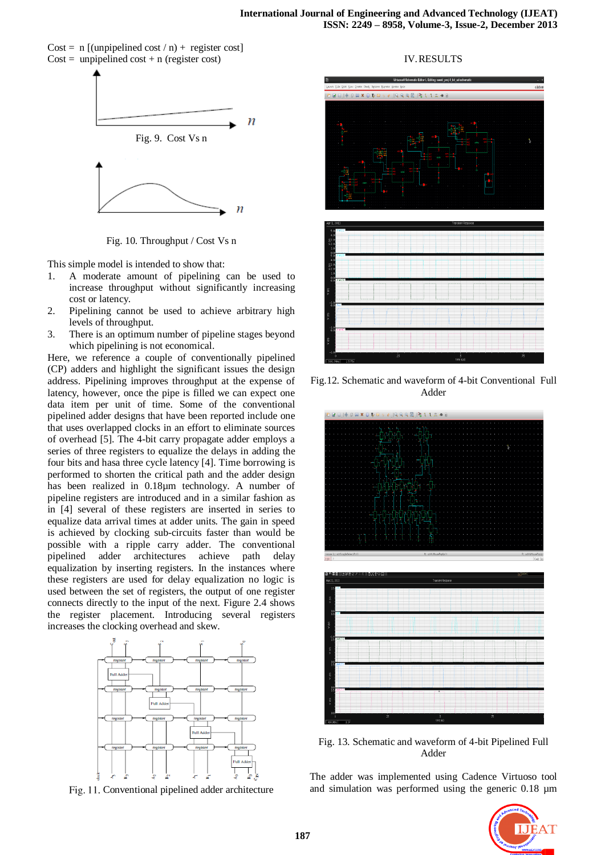Cost = n  $\lceil$  (unpipelined cost / n) + register cost  $Cost = unpipelined cost + n (register cost)$ 



Fig. 10. Throughput / Cost Vs n

This simple model is intended to show that:

- 1. A moderate amount of pipelining can be used to increase throughput without significantly increasing cost or latency.
- 2. Pipelining cannot be used to achieve arbitrary high levels of throughput.
- 3. There is an optimum number of pipeline stages beyond which pipelining is not economical.

Here, we reference a couple of conventionally pipelined (CP) adders and highlight the significant issues the design address. Pipelining improves throughput at the expense of latency, however, once the pipe is filled we can expect one data item per unit of time. Some of the conventional pipelined adder designs that have been reported include one that uses overlapped clocks in an effort to eliminate sources of overhead [5]. The 4-bit carry propagate adder employs a series of three registers to equalize the delays in adding the four bits and hasa three cycle latency [4]. Time borrowing is performed to shorten the critical path and the adder design has been realized in 0.18µm technology. A number of pipeline registers are introduced and in a similar fashion as in [4] several of these registers are inserted in series to equalize data arrival times at adder units. The gain in speed is achieved by clocking sub-circuits faster than would be possible with a ripple carry adder. The conventional pipelined adder architectures achieve path delay equalization by inserting registers. In the instances where these registers are used for delay equalization no logic is used between the set of registers, the output of one register connects directly to the input of the next. Figure 2.4 shows the register placement. Introducing several registers increases the clocking overhead and skew.



Fig. 11. Conventional pipelined adder architecture

## IV.RESULTS



Fig.12. Schematic and waveform of 4-bit Conventional Full Adder



Fig. 13. Schematic and waveform of 4-bit Pipelined Full Adder

The adder was implemented using Cadence Virtuoso tool and simulation was performed using the generic 0.18 µm